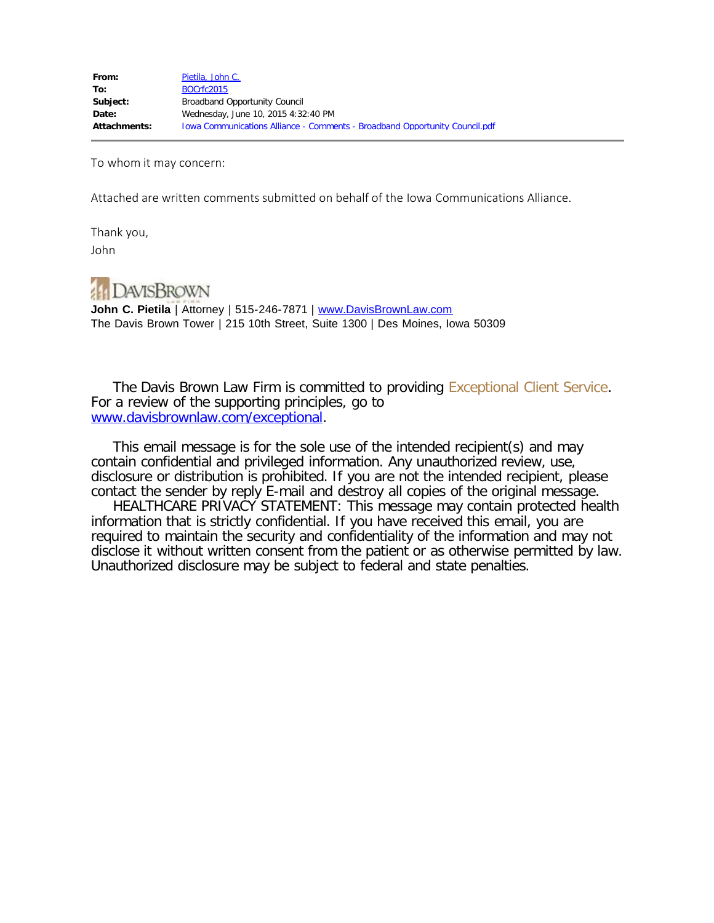To whom it may concern:

Attached are written comments submitted on behalf of the Iowa Communications Alliance.

Thank you, John



John C. Pietila | Attorney | 515-246-7871 | [www.DavisBrownLaw.com](file:////c/www.DavisBrownLaw.com) The Davis Brown Tower | 215 10th Street, Suite 1300 | Des Moines, Iowa 50309

 The Davis Brown Law Firm is committed to providing Exceptional Client Service. For a review of the supporting principles, go to [www.davisbrownlaw.com/exceptional.](http://www.davisbrownlaw.com/exceptional)

 This email message is for the sole use of the intended recipient(s) and may contain confidential and privileged information. Any unauthorized review, use, disclosure or distribution is prohibited. If you are not the intended recipient, please contact the sender by reply E-mail and destroy all copies of the original message.

 HEALTHCARE PRIVACY STATEMENT: This message may contain protected health information that is strictly confidential. If you have received this email, you are required to maintain the security and confidentiality of the information and may not disclose it without written consent from the patient or as otherwise permitted by law. Unauthorized disclosure may be subject to federal and state penalties.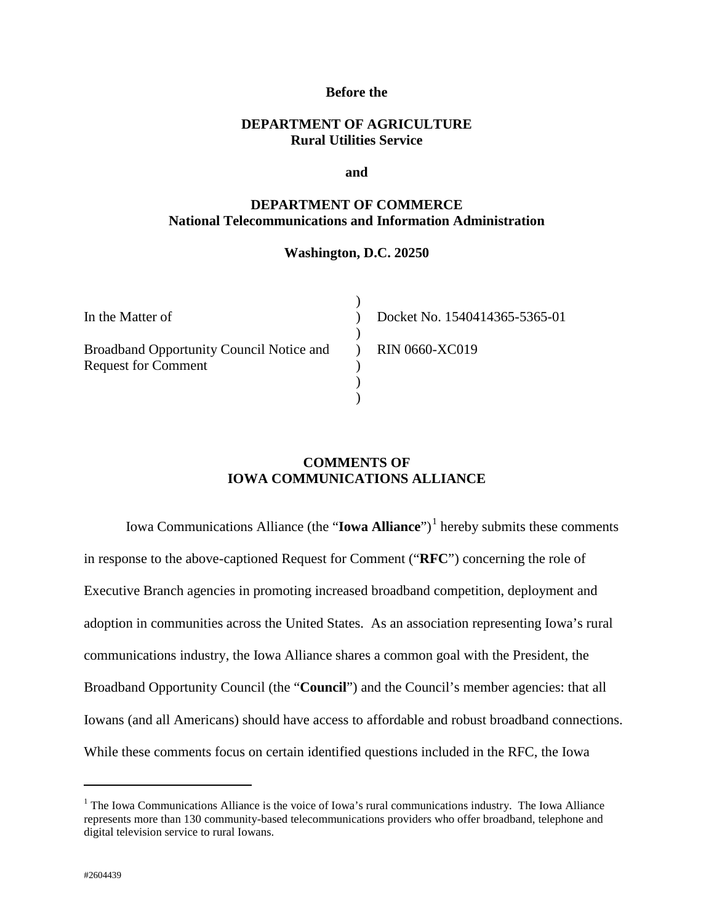#### **Before the**

## **DEPARTMENT OF AGRICULTURE Rural Utilities Service**

#### **and**

## **DEPARTMENT OF COMMERCE National Telecommunications and Information Administration**

#### **Washington, D.C. 20250**

 $\lambda$ 

| In the Matter of                                                       |  |
|------------------------------------------------------------------------|--|
| Broadband Opportunity Council Notice and<br><b>Request for Comment</b> |  |
|                                                                        |  |

Docket No. 1540414365-5365-01 RIN 0660-XC019

## **COMMENTS OF IOWA COMMUNICATIONS ALLIANCE**

Iowa Communications Alliance (the "**Iowa Alliance**")<sup>[1](#page-1-0)</sup> hereby submits these comments in response to the above-captioned Request for Comment ("**RFC**") concerning the role of Executive Branch agencies in promoting increased broadband competition, deployment and adoption in communities across the United States. As an association representing Iowa's rural communications industry, the Iowa Alliance shares a common goal with the President, the Broadband Opportunity Council (the "**Council**") and the Council's member agencies: that all Iowans (and all Americans) should have access to affordable and robust broadband connections. While these comments focus on certain identified questions included in the RFC, the Iowa

 $\overline{a}$ 

<span id="page-1-0"></span> $1$  The Iowa Communications Alliance is the voice of Iowa's rural communications industry. The Iowa Alliance represents more than 130 community-based telecommunications providers who offer broadband, telephone and digital television service to rural Iowans.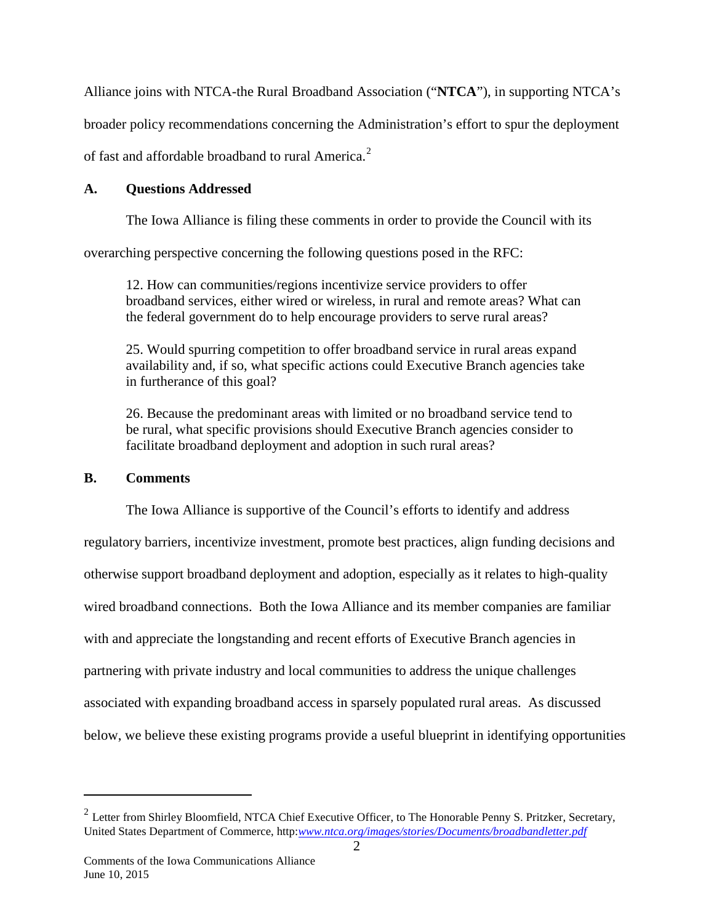Alliance joins with NTCA-the Rural Broadband Association ("**NTCA**"), in supporting NTCA's

broader policy recommendations concerning the Administration's effort to spur the deployment

of fast and affordable broadband to rural America.<sup>[2](#page-2-0)</sup>

# **A. Questions Addressed**

The Iowa Alliance is filing these comments in order to provide the Council with its

overarching perspective concerning the following questions posed in the RFC:

12. How can communities/regions incentivize service providers to offer broadband services, either wired or wireless, in rural and remote areas? What can the federal government do to help encourage providers to serve rural areas?

25. Would spurring competition to offer broadband service in rural areas expand availability and, if so, what specific actions could Executive Branch agencies take in furtherance of this goal?

26. Because the predominant areas with limited or no broadband service tend to be rural, what specific provisions should Executive Branch agencies consider to facilitate broadband deployment and adoption in such rural areas?

## **B. Comments**

 $\overline{a}$ 

The Iowa Alliance is supportive of the Council's efforts to identify and address regulatory barriers, incentivize investment, promote best practices, align funding decisions and otherwise support broadband deployment and adoption, especially as it relates to high-quality wired broadband connections. Both the Iowa Alliance and its member companies are familiar with and appreciate the longstanding and recent efforts of Executive Branch agencies in partnering with private industry and local communities to address the unique challenges associated with expanding broadband access in sparsely populated rural areas. As discussed below, we believe these existing programs provide a useful blueprint in identifying opportunities

<span id="page-2-0"></span><sup>2</sup> Letter from Shirley Bloomfield, NTCA Chief Executive Officer, to The Honorable Penny S. Pritzker, Secretary, United States Department of Commerce, http:*[www.ntca.org/images/stories/Documents/broadbandletter.pdf](http://www.ntca.org/images/stories/Documents/broadbandletter.pdf)*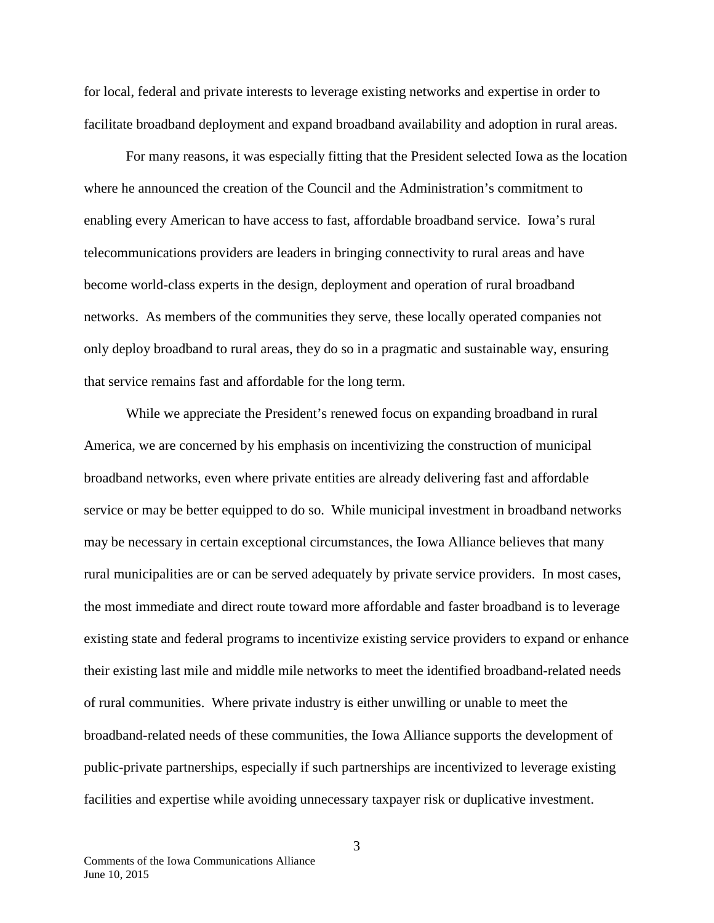for local, federal and private interests to leverage existing networks and expertise in order to facilitate broadband deployment and expand broadband availability and adoption in rural areas.

For many reasons, it was especially fitting that the President selected Iowa as the location where he announced the creation of the Council and the Administration's commitment to enabling every American to have access to fast, affordable broadband service. Iowa's rural telecommunications providers are leaders in bringing connectivity to rural areas and have become world-class experts in the design, deployment and operation of rural broadband networks. As members of the communities they serve, these locally operated companies not only deploy broadband to rural areas, they do so in a pragmatic and sustainable way, ensuring that service remains fast and affordable for the long term.

While we appreciate the President's renewed focus on expanding broadband in rural America, we are concerned by his emphasis on incentivizing the construction of municipal broadband networks, even where private entities are already delivering fast and affordable service or may be better equipped to do so. While municipal investment in broadband networks may be necessary in certain exceptional circumstances, the Iowa Alliance believes that many rural municipalities are or can be served adequately by private service providers. In most cases, the most immediate and direct route toward more affordable and faster broadband is to leverage existing state and federal programs to incentivize existing service providers to expand or enhance their existing last mile and middle mile networks to meet the identified broadband-related needs of rural communities. Where private industry is either unwilling or unable to meet the broadband-related needs of these communities, the Iowa Alliance supports the development of public-private partnerships, especially if such partnerships are incentivized to leverage existing facilities and expertise while avoiding unnecessary taxpayer risk or duplicative investment.

3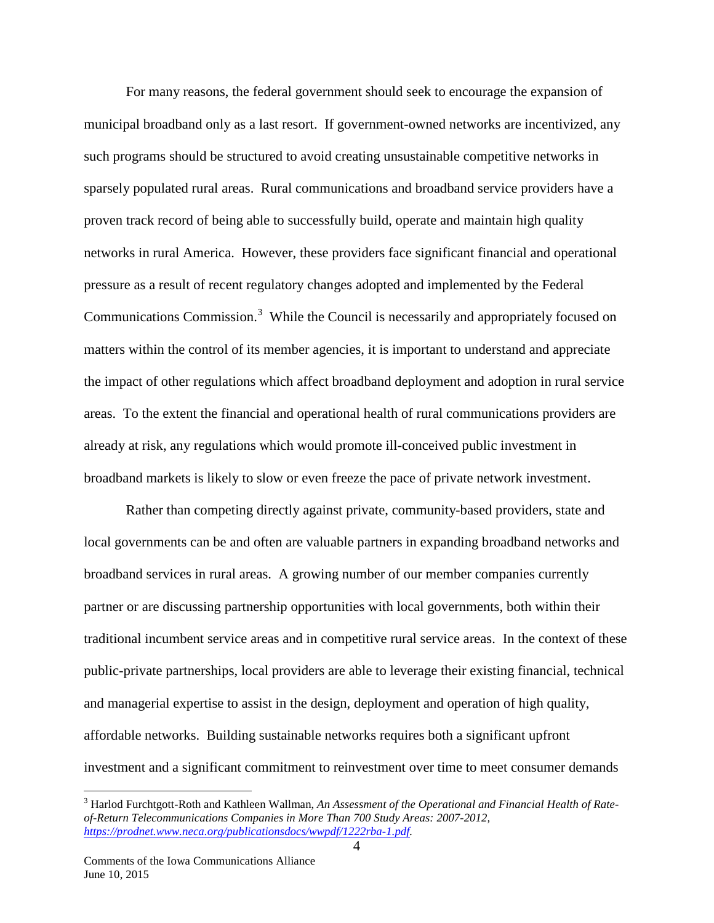For many reasons, the federal government should seek to encourage the expansion of municipal broadband only as a last resort. If government-owned networks are incentivized, any such programs should be structured to avoid creating unsustainable competitive networks in sparsely populated rural areas. Rural communications and broadband service providers have a proven track record of being able to successfully build, operate and maintain high quality networks in rural America. However, these providers face significant financial and operational pressure as a result of recent regulatory changes adopted and implemented by the Federal Communications Commission.<sup>[3](#page-4-0)</sup> While the Council is necessarily and appropriately focused on matters within the control of its member agencies, it is important to understand and appreciate the impact of other regulations which affect broadband deployment and adoption in rural service areas. To the extent the financial and operational health of rural communications providers are already at risk, any regulations which would promote ill-conceived public investment in broadband markets is likely to slow or even freeze the pace of private network investment.

Rather than competing directly against private, community-based providers, state and local governments can be and often are valuable partners in expanding broadband networks and broadband services in rural areas. A growing number of our member companies currently partner or are discussing partnership opportunities with local governments, both within their traditional incumbent service areas and in competitive rural service areas. In the context of these public-private partnerships, local providers are able to leverage their existing financial, technical and managerial expertise to assist in the design, deployment and operation of high quality, affordable networks. Building sustainable networks requires both a significant upfront investment and a significant commitment to reinvestment over time to meet consumer demands

<span id="page-4-0"></span> <sup>3</sup> Harlod Furchtgott-Roth and Kathleen Wallman, *An Assessment of the Operational and Financial Health of Rateof-Return Telecommunications Companies in More Than 700 Study Areas: 2007-2012, [https://prodnet.www.neca.org/publicationsdocs/wwpdf/1222rba-1.pdf.](https://prodnet.www.neca.org/publicationsdocs/wwpdf/1222rba-1.pdf)*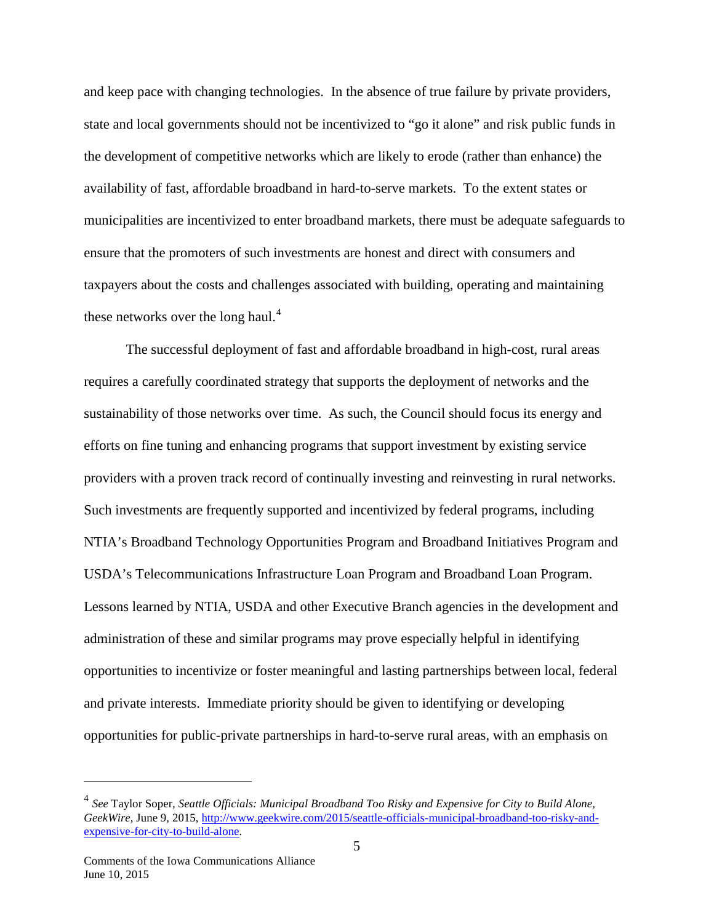and keep pace with changing technologies. In the absence of true failure by private providers, state and local governments should not be incentivized to "go it alone" and risk public funds in the development of competitive networks which are likely to erode (rather than enhance) the availability of fast, affordable broadband in hard-to-serve markets. To the extent states or municipalities are incentivized to enter broadband markets, there must be adequate safeguards to ensure that the promoters of such investments are honest and direct with consumers and taxpayers about the costs and challenges associated with building, operating and maintaining these networks over the long haul.<sup>[4](#page-5-0)</sup>

The successful deployment of fast and affordable broadband in high-cost, rural areas requires a carefully coordinated strategy that supports the deployment of networks and the sustainability of those networks over time. As such, the Council should focus its energy and efforts on fine tuning and enhancing programs that support investment by existing service providers with a proven track record of continually investing and reinvesting in rural networks. Such investments are frequently supported and incentivized by federal programs, including NTIA's Broadband Technology Opportunities Program and Broadband Initiatives Program and USDA's Telecommunications Infrastructure Loan Program and Broadband Loan Program. Lessons learned by NTIA, USDA and other Executive Branch agencies in the development and administration of these and similar programs may prove especially helpful in identifying opportunities to incentivize or foster meaningful and lasting partnerships between local, federal and private interests. Immediate priority should be given to identifying or developing opportunities for public-private partnerships in hard-to-serve rural areas, with an emphasis on

 $\overline{a}$ 

<span id="page-5-0"></span><sup>4</sup> *See* Taylor Soper, *Seattle Officials: Municipal Broadband Too Risky and Expensive for City to Build Alone, GeekWire*, June 9, 2015, [http://www.geekwire.com/2015/seattle-officials-municipal-broadband-too-risky-and](http://www.geekwire.com/2015/seattle-officials-municipal-broadband-too-risky-and-expensive-for-city-to-build-alone)[expensive-for-city-to-build-alone.](http://www.geekwire.com/2015/seattle-officials-municipal-broadband-too-risky-and-expensive-for-city-to-build-alone)